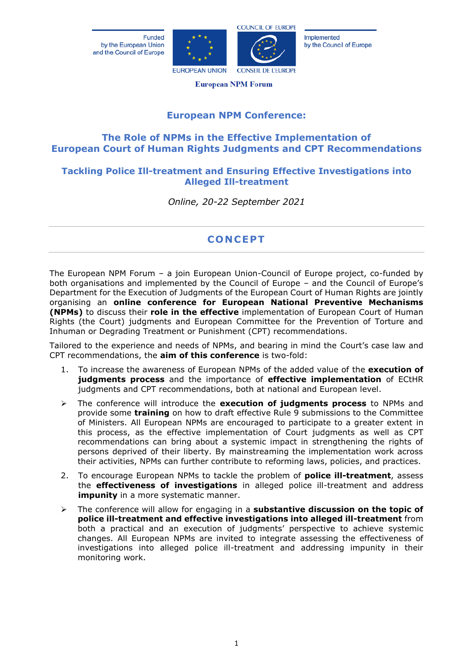**Funded** by the European Union and the Council of Europe





Implemented by the Council of Europe

**European NPM Forum** 

## **European NPM Conference:**

### **The Role of NPMs in the Effective Implementation of European Court of Human Rights Judgments and CPT Recommendations**

## **Tackling Police Ill-treatment and Ensuring Effective Investigations into Alleged Ill-treatment**

*Online, 20-22 September 2021*

# **CON CE PT**

The European NPM Forum – a join European Union-Council of Europe project, co-funded by both organisations and implemented by the Council of Europe – and the Council of Europe's Department for the Execution of Judgments of the European Court of Human Rights are jointly organising an **online conference for European National Preventive Mechanisms (NPMs)** to discuss their **role in the effective** implementation of European Court of Human Rights (the Court) judgments and European Committee for the Prevention of Torture and Inhuman or Degrading Treatment or Punishment (CPT) recommendations.

Tailored to the experience and needs of NPMs, and bearing in mind the Court's case law and CPT recommendations, the **aim of this conference** is two-fold:

- 1. To increase the awareness of European NPMs of the added value of the **execution of judgments process** and the importance of **effective implementation** of ECtHR judgments and CPT recommendations, both at national and European level.
- ➢ The conference will introduce the **execution of judgments process** to NPMs and provide some **training** on how to draft effective Rule 9 submissions to the Committee of Ministers. All European NPMs are encouraged to participate to a greater extent in this process, as the effective implementation of Court judgments as well as CPT recommendations can bring about a systemic impact in strengthening the rights of persons deprived of their liberty. By mainstreaming the implementation work across their activities, NPMs can further contribute to reforming laws, policies, and practices.
- 2. To encourage European NPMs to tackle the problem of **police ill-treatment**, assess the **effectiveness of investigations** in alleged police ill-treatment and address **impunity** in a more systematic manner.
- ➢ The conference will allow for engaging in a **substantive discussion on the topic of police ill-treatment and effective investigations into alleged ill-treatment** from both a practical and an execution of judgments' perspective to achieve systemic changes. All European NPMs are invited to integrate assessing the effectiveness of investigations into alleged police ill-treatment and addressing impunity in their monitoring work.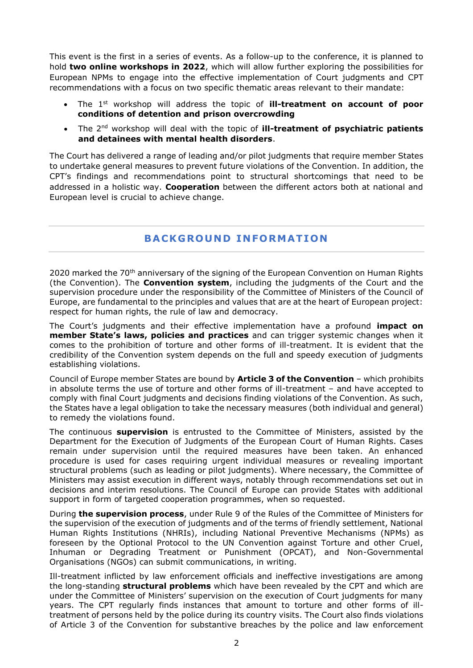This event is the first in a series of events. As a follow-up to the conference, it is planned to hold **two online workshops in 2022**, which will allow further exploring the possibilities for European NPMs to engage into the effective implementation of Court judgments and CPT recommendations with a focus on two specific thematic areas relevant to their mandate:

- The 1<sup>st</sup> workshop will address the topic of **ill-treatment on account of poor conditions of detention and prison overcrowding**
- The 2<sup>nd</sup> workshop will deal with the topic of **ill-treatment of psychiatric patients and detainees with mental health disorders**.

The Court has delivered a range of leading and/or pilot judgments that require member States to undertake general measures to prevent future violations of the Convention. In addition, the CPT's findings and recommendations point to structural shortcomings that need to be addressed in a holistic way. **Cooperation** between the different actors both at national and European level is crucial to achieve change.

## **BACKGROUND INFORMATION**

2020 marked the 70<sup>th</sup> anniversary of the signing of the European Convention on Human Rights (the Convention). The **Convention system**, including the judgments of the Court and the supervision procedure under the responsibility of the Committee of Ministers of the Council of Europe, are fundamental to the principles and values that are at the heart of European project: respect for human rights, the rule of law and democracy.

The Court's judgments and their effective implementation have a profound **impact on member State's laws, policies and practices** and can trigger systemic changes when it comes to the prohibition of torture and other forms of ill-treatment. It is evident that the credibility of the Convention system depends on the full and speedy execution of judgments establishing violations.

Council of Europe member States are bound by **Article 3 of the Convention** – which prohibits in absolute terms the use of torture and other forms of ill-treatment – and have accepted to comply with final Court judgments and decisions finding violations of the Convention. As such, the States have a legal obligation to take the necessary measures (both individual and general) to remedy the violations found.

The continuous **supervision** is entrusted to the Committee of Ministers, assisted by the Department for the Execution of Judgments of the European Court of Human Rights. Cases remain under supervision until the required measures have been taken. An enhanced procedure is used for cases requiring urgent individual measures or revealing important structural problems (such as leading or pilot judgments). Where necessary, the Committee of Ministers may assist execution in different ways, notably through recommendations set out in decisions and interim resolutions. The Council of Europe can provide States with additional support in form of targeted cooperation programmes, when so requested.

During **the supervision process**, under Rule 9 of the Rules of the Committee of Ministers for the supervision of the execution of judgments and of the terms of friendly settlement, National Human Rights Institutions (NHRIs), including National Preventive Mechanisms (NPMs) as foreseen by the Optional Protocol to the UN Convention against Torture and other Cruel, Inhuman or Degrading Treatment or Punishment (OPCAT), and Non-Governmental Organisations (NGOs) can submit communications, in writing.

Ill-treatment inflicted by law enforcement officials and ineffective investigations are among the long-standing **structural problems** which have been revealed by the CPT and which are under the Committee of Ministers' supervision on the execution of Court judgments for many years. The CPT regularly finds instances that amount to torture and other forms of illtreatment of persons held by the police during its country visits. The Court also finds violations of Article 3 of the Convention for substantive breaches by the police and law enforcement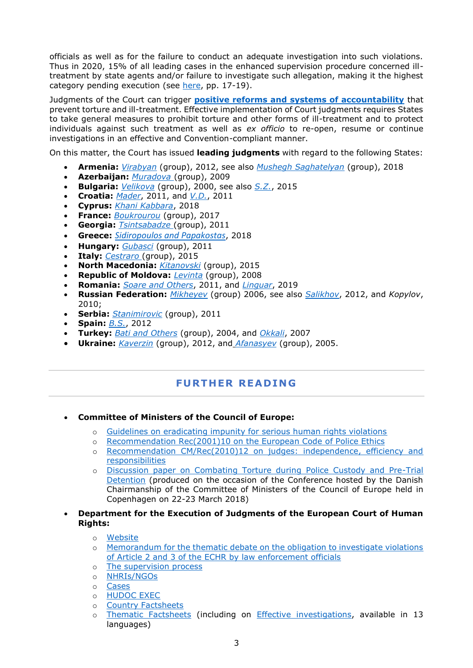officials as well as for the failure to conduct an adequate investigation into such violations. Thus in 2020, 15% of all leading cases in the enhanced supervision procedure concerned illtreatment by state agents and/or failure to investigate such allegation, making it the highest category pending execution (see [here,](https://rm.coe.int/2020-cm-annual-report-eng/1680a1f4e8) pp. 17-19).

Judgments of the Court can trigger **[positive reforms and systems of accountability](https://www.coe.int/en/web/impact-convention-human-rights/torture-and-ill-treatment)** that prevent torture and ill-treatment. Effective implementation of Court judgments requires States to take general measures to prohibit torture and other forms of ill-treatment and to protect individuals against such treatment as well as *ex officio* to re-open, resume or continue investigations in an effective and Convention-compliant manner.

On this matter, the Court has issued **leading judgments** with regard to the following States:

- **Armenia:** *[Virabyan](http://hudoc.exec.coe.int/eng?i=004-355)* (group), 2012, see also *[Mushegh Saghatelyan](http://hudoc.exec.coe.int/eng?i=004-51167)* (group), 2018
- **Azerbaijan:** *[Muradova](http://hudoc.exec.coe.int/eng?i=004-1761)* (group), 2009
- **Bulgaria:** *[Velikova](http://hudoc.exec.coe.int/eng?i=004-3593)* (group), 2000, see also *[S.Z.](http://hudoc.exec.coe.int/eng?i=004-1934)*, 2015
- **Croatia:** *[Mader](http://hudoc.exec.coe.int/eng?i=004-10103)*, 2011, and *[V.D.](http://hudoc.exec.coe.int/eng?i=004-10183)*, 2011
- **Cyprus:** *[Khani Kabbara](http://hudoc.exec.coe.int/eng?i=004-50227)*, 2018
- **France:** *[Boukrourou](http://hudoc.exec.coe.int/eng?i=004-49070)* (group), 2017
- **Georgia:** *[Tsintsabadze](http://hudoc.exec.coe.int/fre?i=004-5830)* (group), 2011
- **Greece:** *[Sidiropoulos and Papakostas](http://hudoc.exec.coe.int/eng?i=004-49397)*, 2018
- **Hungary:** *[Gubasci](http://hudoc.exec.coe.int/fre?i=004-10515)* (group), 2011
- **Italy:** *[Cestraro](http://hudoc.exec.coe.int/eng?i=004-28298)* (group), 2015
- **North Macedonia:** *[Kitanovski](http://hudoc.exec.coe.int/eng?i=004-6582)* (group), 2015
- **Republic of Moldova:** *[Levinta](http://hudoc.exec.coe.int/eng?i=004-7162)* (group), 2008
- **Romania:** *[Soare and Others](http://hudoc.exec.coe.int/eng?i=004-12812)*, 2011, and *[Linguar](http://hudoc.exec.coe.int/eng?i=004-51929)*, 2019
- **Russian Federation:** *[Mikheyev](http://hudoc.exec.coe.int/eng?i=004-14082)* (group) 2006, see also *[Salikhov](http://hudoc.exec.coe.int/eng?i=004-14215)*, 2012, and *[Kopylov](http://hudoc.exec.coe.int/eng?i=004-14108)*, 2010;
- **Serbia:** *[Stanimirovic](http://hudoc.exec.coe.int/eng?i=004-7310)* (group), 2011
- **Spain:** *[B.S.](http://hudoc.exec.coe.int/eng?i=004-5761)*, 2012
- **Turkey:** *[Bati and Others](http://hudoc.exec.coe.int/eng?i=004-37206)* (group), 2004, and *[Okkali](http://hudoc.exec.coe.int/eng?i=004-37362)*, 2007
- **Ukraine:** *[Kaverzin](http://hudoc.exec.coe.int/eng?i=004-31569)* (group), 2012, and *[Afanasyev](http://hudoc.exec.coe.int/ENG?i=004-31348)* (group), 2005.

## **FURTHER READING**

- **Committee of Ministers of the Council of Europe:**
	- o [Guidelines on eradicating impunity for serious human rights violations](https://rm.coe.int/1680695d6e)
	- o [Recommendation Rec\(2001\)10 on the European Code](https://search.coe.int/cm/Pages/result_details.aspx?ObjectID=09000016805e297e) of Police Ethics
	- o [Recommendation CM/Rec\(2010\)12 on judges: independence, efficiency and](https://search.coe.int/cm/Pages/result_details.aspx?ObjectId=09000016805afb78)  [responsibilities](https://search.coe.int/cm/Pages/result_details.aspx?ObjectId=09000016805afb78)
	- o [Discussion paper on Combating Torture during Police Custody and Pre-Trial](https://rm.coe.int/1680797130)  [Detention](https://rm.coe.int/1680797130) (produced on the occasion of the Conference hosted by the Danish Chairmanship of the Committee of Ministers of the Council of Europe held in Copenhagen on 22-23 March 2018)
- **Department for the Execution of Judgments of the European Court of Human Rights:**
	- o [Website](https://www.coe.int/en/web/execution/home)
	- o [Memorandum for the thematic debate on the obligation to investigate violations](https://rm.coe.int/h-exec-2019-2-thematic-debate-en/16809837ed)  [of Article 2 and 3 of the ECHR by law enforcement officials](https://rm.coe.int/h-exec-2019-2-thematic-debate-en/16809837ed)
	- o [The supervision process](https://www.coe.int/en/web/execution/the-supervision-process)
	- o [NHRIs/NGOs](https://www.coe.int/en/web/execution/nhri-ngo)
	- o [Cases](https://www.coe.int/en/web/execution/cases)
	- o [HUDOC EXEC](https://hudoc.exec.coe.int/eng)
	- o [Country Factsheets](https://www.coe.int/en/web/execution/country-factsheets)
	- o [Thematic Factsheets](https://www.coe.int/en/web/execution/thematic-factsheets) (including on [Effective investigations,](https://rm.coe.int/thematic-factsheet-effective-investigations-eng/16809ef841) available in 13 languages)